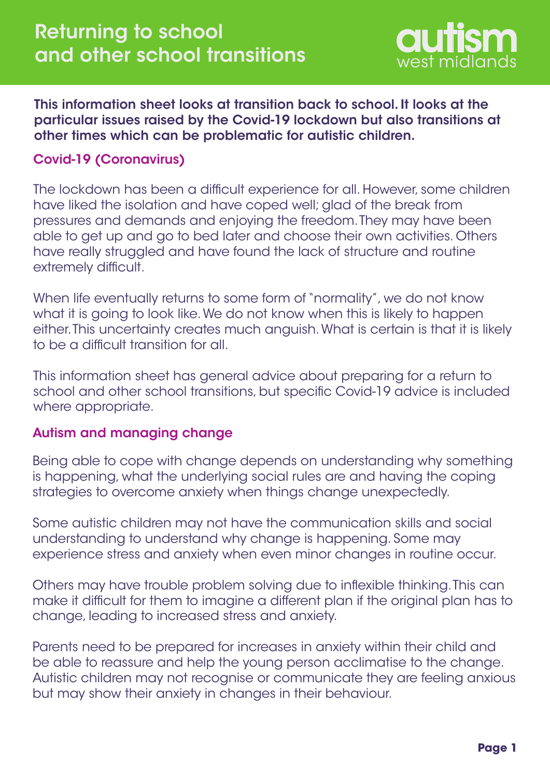

This information sheet looks at transition back to school. It looks at the particular issues raised by the Covid-19 lockdown but also transitions at other times which can be problematic for autistic children.

## Covid-19 (Coronavirus)

The lockdown has been a difficult experience for all. However, some children have liked the isolation and have coped well; glad of the break from pressures and demands and enjoying the freedom. They may have been able to get up and go to bed later and choose their own activities. Others have really struggled and have found the lack of structure and routine extremely difficult.

When life eventually returns to some form of "normality", we do not know what it is going to look like. We do not know when this is likely to happen either. This uncertainty creates much anguish. What is certain is that it is likely to be a difficult transition for all.

This information sheet has general advice about preparing for a return to school and other school transitions, but specific Covid-19 advice is included where appropriate.

#### Autism and managing change

Being able to cope with change depends on understanding why something is happening, what the underlying social rules are and having the coping strategies to overcome anxiety when things change unexpectedly.

Some autistic children may not have the communication skills and social understanding to understand why change is happening. Some may experience stress and anxiety when even minor changes in routine occur.

Others may have trouble problem solving due to inflexible thinking. This can make it difficult for them to imagine a different plan if the original plan has to change, leading to increased stress and anxiety.

Parents need to be prepared for increases in anxiety within their child and be able to reassure and help the young person acclimatise to the change. Autistic children may not recognise or communicate they are feeling anxious but may show their anxiety in changes in their behaviour.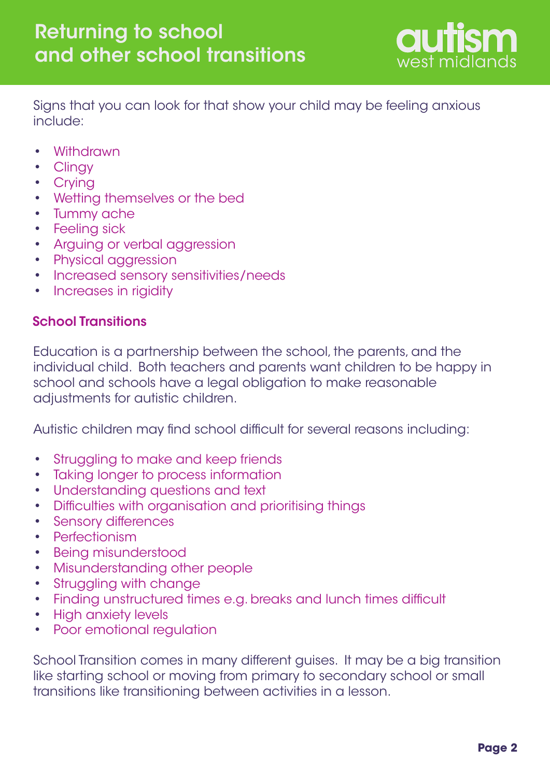

Signs that you can look for that show your child may be feeling anxious include:

- **Withdrawn** •
- **Clingy** •
- Crying
- Wetting themselves or the bed
- Tummy ache
- Feeling sick
- Arguing or verbal aggression •
- Physical aggression
- Increased sensory sensitivities/needs •
- Increases in rigidity •

## School Transitions

Education is a partnership between the school, the parents, and the individual child. Both teachers and parents want children to be happy in school and schools have a legal obligation to make reasonable adjustments for autistic children.

Autistic children may find school difficult for several reasons including:

- Struggling to make and keep friends •
- Taking longer to process information •
- Understanding questions and text •
- Difficulties with organisation and prioritising things •
- Sensory differences •
- Perfectionism •
- Being misunderstood •
- Misunderstanding other people •
- Struggling with change •
- Finding unstructured times e.g. breaks and lunch times difficult •
- High anxiety levels •
- Poor emotional regulation •

School Transition comes in many different guises. It may be a big transition like starting school or moving from primary to secondary school or small transitions like transitioning between activities in a lesson.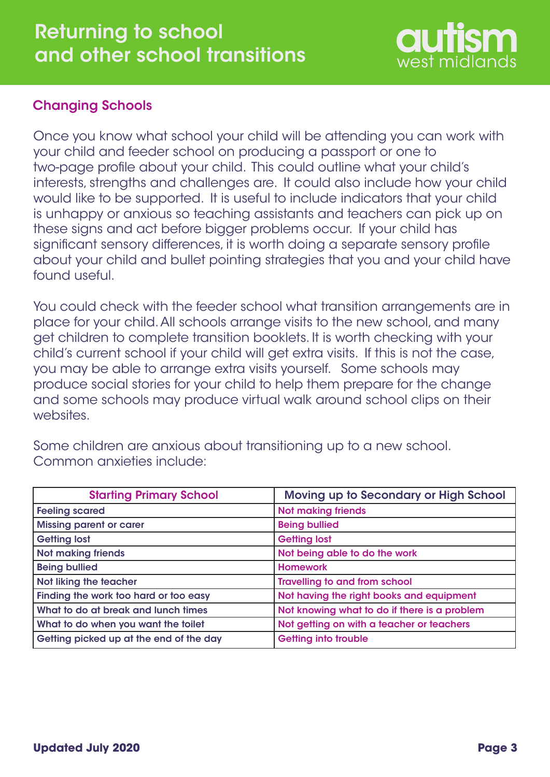# west midlands

# Changing Schools

Once you know what school your child will be attending you can work with your child and feeder school on producing a passport or one to two-page profile about your child. This could outline what your child's interests, strengths and challenges are. It could also include how your child would like to be supported. It is useful to include indicators that your child is unhappy or anxious so teaching assistants and teachers can pick up on these signs and act before bigger problems occur. If your child has significant sensory differences, it is worth doing a separate sensory profile about your child and bullet pointing strategies that you and your child have found useful.

You could check with the feeder school what transition arrangements are in place for your child. All schools arrange visits to the new school, and many get children to complete transition booklets. It is worth checking with your child's current school if your child will get extra visits. If this is not the case, you may be able to arrange extra visits yourself. Some schools may produce social stories for your child to help them prepare for the change and some schools may produce virtual walk around school clips on their websites.

Some children are anxious about transitioning up to a new school. Common anxieties include:

| <b>Starting Primary School</b>          | Moving up to Secondary or High School        |
|-----------------------------------------|----------------------------------------------|
| <b>Feeling scared</b>                   | <b>Not making friends</b>                    |
| <b>Missing parent or carer</b>          | <b>Being bullied</b>                         |
| <b>Getting lost</b>                     | <b>Getting lost</b>                          |
| <b>Not making friends</b>               | Not being able to do the work                |
| <b>Being bullied</b>                    | <b>Homework</b>                              |
| Not liking the teacher                  | <b>Travelling to and from school</b>         |
| Finding the work too hard or too easy   | Not having the right books and equipment     |
| What to do at break and lunch times     | Not knowing what to do if there is a problem |
| What to do when you want the toilet     | Not getting on with a teacher or teachers    |
| Getting picked up at the end of the day | Getting into trouble                         |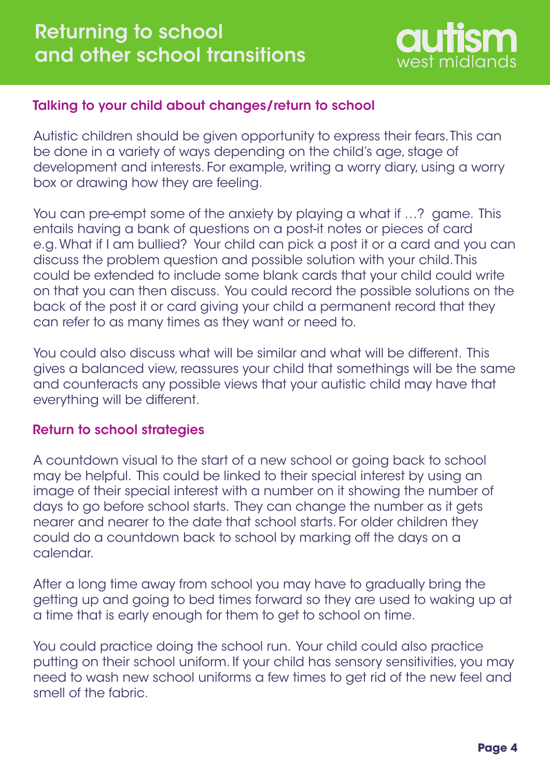

## Talking to your child about changes/return to school

Autistic children should be given opportunity to express their fears. This can be done in a variety of ways depending on the child's age, stage of development and interests. For example, writing a worry diary, using a worry box or drawing how they are feeling.

You can pre-empt some of the anxiety by playing a what if …? game. This entails having a bank of questions on a post-it notes or pieces of card e.g. What if I am bullied? Your child can pick a post it or a card and you can discuss the problem question and possible solution with your child. This could be extended to include some blank cards that your child could write on that you can then discuss. You could record the possible solutions on the back of the post it or card giving your child a permanent record that they can refer to as many times as they want or need to.

You could also discuss what will be similar and what will be different. This gives a balanced view, reassures your child that somethings will be the same and counteracts any possible views that your autistic child may have that everything will be different.

#### Return to school strategies

A countdown visual to the start of a new school or going back to school may be helpful. This could be linked to their special interest by using an image of their special interest with a number on it showing the number of days to go before school starts. They can change the number as it gets nearer and nearer to the date that school starts. For older children they could do a countdown back to school by marking off the days on a calendar.

After a long time away from school you may have to gradually bring the getting up and going to bed times forward so they are used to waking up at a time that is early enough for them to get to school on time.

You could practice doing the school run. Your child could also practice putting on their school uniform. If your child has sensory sensitivities, you may need to wash new school uniforms a few times to get rid of the new feel and smell of the fabric.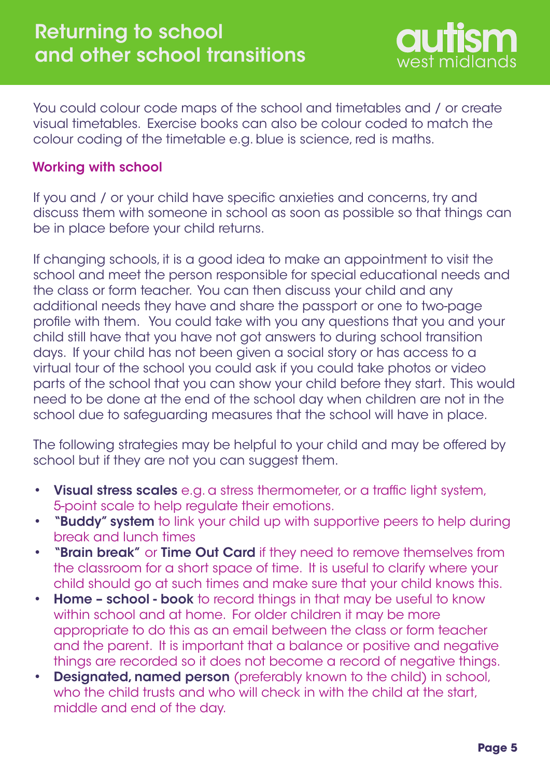

You could colour code maps of the school and timetables and / or create visual timetables. Exercise books can also be colour coded to match the colour coding of the timetable e.g. blue is science, red is maths.

#### Working with school

If you and / or your child have specific anxieties and concerns, try and discuss them with someone in school as soon as possible so that things can be in place before your child returns.

If changing schools, it is a good idea to make an appointment to visit the school and meet the person responsible for special educational needs and the class or form teacher. You can then discuss your child and any additional needs they have and share the passport or one to two-page profile with them. You could take with you any questions that you and your child still have that you have not got answers to during school transition days. If your child has not been given a social story or has access to a virtual tour of the school you could ask if you could take photos or video parts of the school that you can show your child before they start. This would need to be done at the end of the school day when children are not in the school due to safeguarding measures that the school will have in place.

The following strategies may be helpful to your child and may be offered by school but if they are not you can suggest them.

- Visual stress scales e.g. a stress thermometer, or a traffic light system, 5-point scale to help regulate their emotions. •
- **"Buddy" system** to link your child up with supportive peers to help during break and lunch times •
- "Brain break" or Time Out Card if they need to remove themselves from the classroom for a short space of time. It is useful to clarify where your child should go at such times and make sure that your child knows this. •
- **Home school book** to record things in that may be useful to know within school and at home. For older children it may be more appropriate to do this as an email between the class or form teacher and the parent. It is important that a balance or positive and negative things are recorded so it does not become a record of negative things. •
- **Designated, named person** (preferably known to the child) in school, who the child trusts and who will check in with the child at the start, middle and end of the day. •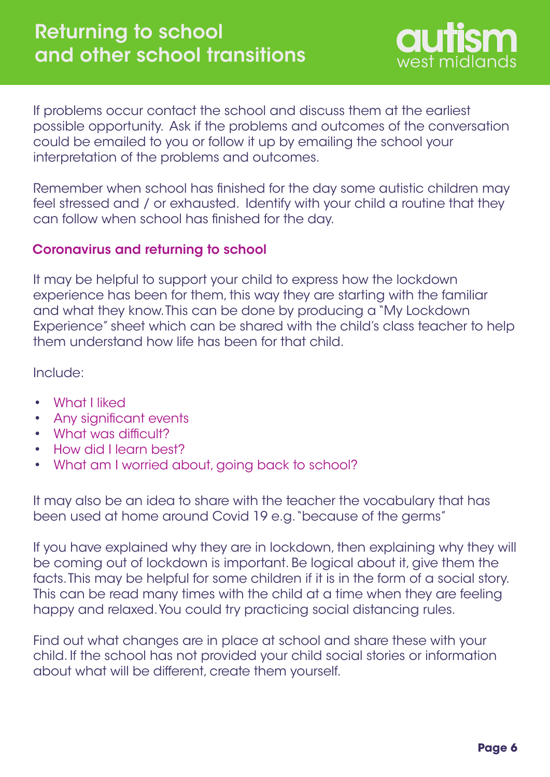

If problems occur contact the school and discuss them at the earliest possible opportunity. Ask if the problems and outcomes of the conversation could be emailed to you or follow it up by emailing the school your interpretation of the problems and outcomes.

Remember when school has finished for the day some autistic children may feel stressed and / or exhausted. Identify with your child a routine that they can follow when school has finished for the day.

#### Coronavirus and returning to school

It may be helpful to support your child to express how the lockdown experience has been for them, this way they are starting with the familiar and what they know. This can be done by producing a "My Lockdown Experience" sheet which can be shared with the child's class teacher to help them understand how life has been for that child.

Include:

- What I liked •
- Any significant events •
- What was difficult? •
- How did I learn best? •
- What am I worried about, going back to school? •

It may also be an idea to share with the teacher the vocabulary that has been used at home around Covid 19 e.g. "because of the germs"

If you have explained why they are in lockdown, then explaining why they will be coming out of lockdown is important. Be logical about it, give them the facts. This may be helpful for some children if it is in the form of a social story. This can be read many times with the child at a time when they are feeling happy and relaxed. You could try practicing social distancing rules.

Find out what changes are in place at school and share these with your child. If the school has not provided your child social stories or information about what will be different, create them yourself.